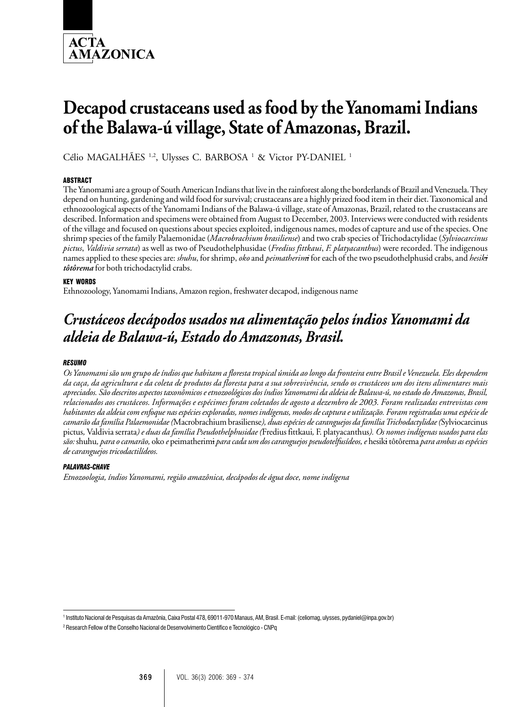

# **Decapod crustaceans used as food by the Yanomami Indians of the Balawa-ú village, State of Amazonas, Brazil.**

Célio MAGALHÃES<sup>1,2</sup>, Ulysses C. BARBOSA<sup>1</sup> & Victor PY-DANIEL<sup>1</sup>

# **ABSTRACT**

The Yanomami are a group of South American Indians that live in the rainforest along the borderlands of Brazil and Venezuela. They depend on hunting, gardening and wild food for survival; crustaceans are a highly prized food item in their diet. Taxonomical and ethnozoological aspects of the Yanomami Indians of the Balawa-ú village, state of Amazonas, Brazil, related to the crustaceans are described. Information and specimens were obtained from August to December, 2003. Interviews were conducted with residents of the village and focused on questions about species exploited, indigenous names, modes of capture and use of the species. One shrimp species of the family Palaemonidae (*Macrobrachium brasiliense*) and two crab species of Trichodactylidae (*Sylviocarcinus pictus*, *Valdivia serrata*) as well as two of Pseudothelphusidae (*Fredius fittkaui*, *F. platyacanthus*) were recorded. The indigenous names applied to these species are: *shuhu*, for shrimp, *oko* and *peimatherimi* for each of the two pseudothelphusid crabs, and *hesiki tôtôrema* for both trichodactylid crabs.

# KEY WORDS

Ethnozoology, Yanomami Indians, Amazon region, freshwater decapod, indigenous name

# *Crustáceos decápodos usados na alimentação pelos índios Yanomami da aldeia de Balawa-ú, Estado do Amazonas, Brasil.*

#### *RESUMO*

*Os Yanomami são um grupo de índios que habitam a floresta tropical úmida ao longo da fronteira entre Brasil e Venezuela. Eles dependem da caça, da agricultura e da coleta de produtos da floresta para a sua sobrevivência, sendo os crustáceos um dos itens alimentares mais apreciados. São descritos aspectos taxonômicos e etnozoológicos dos índios Yanomami da aldeia de Balawa-ú, no estado do Amazonas, Brasil, relacionados aos crustáceos. Informações e espécimes foram coletados de agosto a dezembro de 2003. Foram realizadas entrevistas com habitantes da aldeia com enfoque nas espécies exploradas, nomes indígenas, modos de captura e utilização. Foram registradas uma espécie de camarão da família Palaemonidae (*Macrobrachium brasiliense*), duas espécies de caranguejos da família Trichodactylidae (*Sylviocarcinus pictus*,* Valdivia serrata*) e duas da família Pseudothelphusidae (*Fredius fittkaui*,* F. platyacanthus*). Os nomes indígenas usados para elas são:* shuhu*, para o camarão,* oko *e* peimatherimi *para cada um dos caranguejos pseudotelfusídeos, e* hesiki tôtôrema *para ambas as espécies de caranguejos tricodactilídeos.*

#### *PALAVRAS-CHAVE*

*Etnozoologia, índios Yanomami, região amazônica, decápodos de água doce, nome indígena*

<sup>1</sup> Instituto Nacional de Pesquisas da Amazônia, Caixa Postal 478, 69011-970 Manaus, AM, Brasil. E-mail: (celiomag, ulysses, pydaniel@inpa.gov.br)

<sup>2</sup> Research Fellow of the Conselho Nacional de Desenvolvimento Científico e Tecnológico - CNPq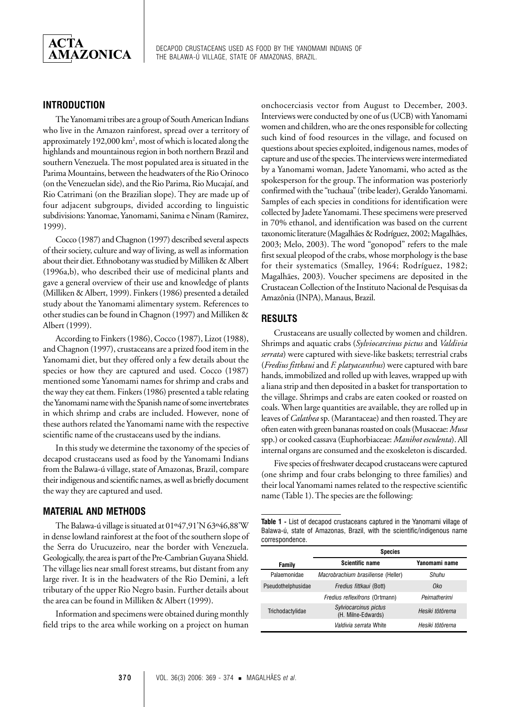

# **INTRODUCTION**

The Yanomami tribes are a group of South American Indians who live in the Amazon rainforest, spread over a territory of approximately 192,000 km<sup>2</sup>, most of which is located along the highlands and mountainous region in both northern Brazil and southern Venezuela. The most populated area is situated in the Parima Mountains, between the headwaters of the Rio Orinoco (on the Venezuelan side), and the Rio Parima, Rio Mucajaí, and Rio Catrimani (on the Brazilian slope). They are made up of four adjacent subgroups, divided according to linguistic subdivisions: Yanomae, Yanomami, Sanima e Ninam (Ramirez, 1999).

Cocco (1987) and Chagnon (1997) described several aspects of their society, culture and way of living, as well as information about their diet. Ethnobotany was studied by Milliken & Albert (1996a,b), who described their use of medicinal plants and gave a general overview of their use and knowledge of plants (Milliken & Albert, 1999). Finkers (1986) presented a detailed study about the Yanomami alimentary system. References to other studies can be found in Chagnon (1997) and Milliken & Albert (1999).

According to Finkers (1986), Cocco (1987), Lizot (1988), and Chagnon (1997), crustaceans are a prized food item in the Yanomami diet, but they offered only a few details about the species or how they are captured and used. Cocco (1987) mentioned some Yanomami names for shrimp and crabs and the way they eat them. Finkers (1986) presented a table relating the Yanomami name with the Spanish name of some invertebrates in which shrimp and crabs are included. However, none of these authors related the Yanomami name with the respective scientific name of the crustaceans used by the indians.

In this study we determine the taxonomy of the species of decapod crustaceans used as food by the Yanomami Indians from the Balawa-ú village, state of Amazonas, Brazil, compare their indigenous and scientific names, as well as briefly document the way they are captured and used.

# **MATERIAL AND METHODS**

The Balawa-ú village is situated at 01º47,91'N 63º46,88'W in dense lowland rainforest at the foot of the southern slope of the Serra do Urucuzeiro, near the border with Venezuela. Geologically, the area is part of the Pre-Cambrian Guyana Shield. The village lies near small forest streams, but distant from any large river. It is in the headwaters of the Rio Demini, a left tributary of the upper Rio Negro basin. Further details about the area can be found in Milliken & Albert (1999).

Information and specimens were obtained during monthly field trips to the area while working on a project on human onchocerciasis vector from August to December, 2003. Interviews were conducted by one of us (UCB) with Yanomami women and children, who are the ones responsible for collecting such kind of food resources in the village, and focused on questions about species exploited, indigenous names, modes of capture and use of the species. The interviews were intermediated by a Yanomami woman, Jadete Yanomami, who acted as the spokesperson for the group. The information was posteriorly confirmed with the "tuchaua" (tribe leader), Geraldo Yanomami. Samples of each species in conditions for identification were collected by Jadete Yanomami. These specimens were preserved in 70% ethanol, and identification was based on the current taxonomic literature (Magalhães & Rodríguez, 2002; Magalhães, 2003; Melo, 2003). The word "gonopod" refers to the male first sexual pleopod of the crabs, whose morphology is the base for their systematics (Smalley, 1964; Rodríguez, 1982; Magalhães, 2003). Voucher specimens are deposited in the Crustacean Collection of the Instituto Nacional de Pesquisas da Amazônia (INPA), Manaus, Brazil.

# **RESULTS**

Crustaceans are usually collected by women and children. Shrimps and aquatic crabs (*Sylviocarcinus pictus* and *Valdivia serrata*) were captured with sieve-like baskets; terrestrial crabs (*Fredius fittkaui* and *F. platyacanthus*) were captured with bare hands, immobilized and rolled up with leaves, wrapped up with a liana strip and then deposited in a basket for transportation to the village. Shrimps and crabs are eaten cooked or roasted on coals. When large quantities are available, they are rolled up in leaves of *Calathea* sp. (Marantaceae) and then roasted. They are often eaten with green bananas roasted on coals (Musaceae: *Musa* spp.) or cooked cassava (Euphorbiaceae: *Manihot esculenta*). All internal organs are consumed and the exoskeleton is discarded.

Five species of freshwater decapod crustaceans were captured (one shrimp and four crabs belonging to three families) and their local Yanomami names related to the respective scientific name (Table 1). The species are the following:

**Table 1 -** List of decapod crustaceans captured in the Yanomami village of Balawa-ú, state of Amazonas, Brazil, with the scientific/indigenous name correspondence.

|                    | <b>Species</b>                              |                 |
|--------------------|---------------------------------------------|-----------------|
| Family             | <b>Scientific name</b>                      | Yanomami name   |
| Palaemonidae       | Macrobrachium brasiliense (Heller)          | Shuhu           |
| Pseudothelphusidae | Fredius fittkaui (Bott)                     | Oko             |
|                    | <i>Fredius reflexifrons (Ortmann)</i>       | Peimatherimi    |
| Trichodactylidae   | Sylviocarcinus pictus<br>(H. Milne-Edwards) | Hesiki tôtôrema |
|                    | Valdivia serrata White                      | Hesiki tôtôrema |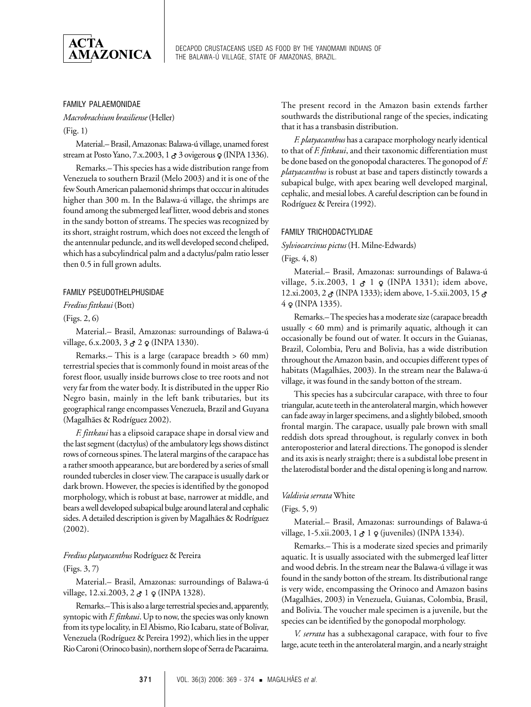

# FAMILY PALAEMONIDAE

*Macrobrachium brasiliense* (Heller)

(Fig. 1)

Material.– Brasil, Amazonas: Balawa-ú village, unamed forest stream at Posto Yano, 7.x.2003, 1 3 3 ovigerous  $\varphi$  (INPA 1336).

Remarks.– This species has a wide distribution range from Venezuela to southern Brazil (Melo 2003) and it is one of the few South American palaemonid shrimps that occcur in altitudes higher than 300 m. In the Balawa-ú village, the shrimps are found among the submerged leaf litter, wood debris and stones in the sandy botton of streams. The species was recognized by its short, straight rostrum, which does not exceed the length of the antennular peduncle, and its well developed second cheliped, which has a subcylindrical palm and a dactylus/palm ratio lesser then 0.5 in full grown adults.

#### FAMILY PSEUDOTHELPHUSIDAE

*Fredius fittkaui* (Bott)

#### (Figs. 2, 6)

Material.– Brasil, Amazonas: surroundings of Balawa-ú village, 6.x.2003, 3  $\sigma$  2  $\varphi$  (INPA 1330).

Remarks.– This is a large (carapace breadth > 60 mm) terrestrial species that is commonly found in moist areas of the forest floor, usually inside burrows close to tree roots and not very far from the water body. It is distributed in the upper Rio Negro basin, mainly in the left bank tributaries, but its geographical range encompasses Venezuela, Brazil and Guyana (Magalhães & Rodríguez 2002).

*F. fittkaui* has a elipsoid carapace shape in dorsal view and the last segment (dactylus) of the ambulatory legs shows distinct rows of corneous spines. The lateral margins of the carapace has a rather smooth appearance, but are bordered by a series of small rounded tubercles in closer view. The carapace is usually dark or dark brown. However, the species is identified by the gonopod morphology, which is robust at base, narrower at middle, and bears a well developed subapical bulge around lateral and cephalic sides. A detailed description is given by Magalhães & Rodríguez (2002).

# *Fredius platyacanthus* Rodríguez & Pereira (Figs. 3, 7)

Material.– Brasil, Amazonas: surroundings of Balawa-ú village, 12.xi.2003,  $2 \, \sigma$  1  $\sigma$  (INPA 1328).

Remarks.– This is also a large terrestrial species and, apparently, syntopic with *F. fittkaui*. Up to now, the species was only known from its type locality, in El Abismo, Rio Icabaru, state of Bolivar, Venezuela (Rodríguez & Pereira 1992), which lies in the upper Rio Caroni (Orinoco basin), northern slope of Serra de Pacaraima. The present record in the Amazon basin extends farther southwards the distributional range of the species, indicating that it has a transbasin distribution.

*F. platyacanthus* has a carapace morphology nearly identical to that of *F. fittkaui*, and their taxonomic differentiation must be done based on the gonopodal characteres. The gonopod of *F. platyacanthus* is robust at base and tapers distinctly towards a subapical bulge, with apex bearing well developed marginal, cephalic, and mesial lobes. A careful description can be found in Rodríguez & Pereira (1992).

#### FAMILY TRICHODACTYLIDAE

*Sylviocarcinus pictus* (H. Milne-Edwards)

(Figs. 4, 8)

Material.– Brasil, Amazonas: surroundings of Balawa-ú village, 5.ix.2003, 1  $\sigma$  1  $\varphi$  (INPA 1331); idem above, 12.xi.2003, 2  $\sigma$  (INPA 1333); idem above, 1-5.xii.2003, 15  $\sigma$  $4 \varphi$  (INPA 1335).

Remarks.– The species has a moderate size (carapace breadth usually < 60 mm) and is primarily aquatic, although it can occasionally be found out of water. It occurs in the Guianas, Brazil, Colombia, Peru and Bolivia, has a wide distribution throughout the Amazon basin, and occupies different types of habitats (Magalhães, 2003). In the stream near the Balawa-ú village, it was found in the sandy botton of the stream.

This species has a subcircular carapace, with three to four triangular, acute teeth in the anterolateral margin, which however can fade away in larger specimens, and a slightly bilobed, smooth frontal margin. The carapace, usually pale brown with small reddish dots spread throughout, is regularly convex in both anteroposterior and lateral directions. The gonopod is slender and its axis is nearly straight; there is a subdistal lobe present in the laterodistal border and the distal opening is long and narrow.

#### *Valdivia serrata* White

#### (Figs. 5, 9)

Material.– Brasil, Amazonas: surroundings of Balawa-ú village, 1-5.xii.2003, 1 $\sigma$  1  $\varphi$  (juveniles) (INPA 1334).

Remarks.– This is a moderate sized species and primarily aquatic. It is usually associated with the submerged leaf litter and wood debris. In the stream near the Balawa-ú village it was found in the sandy botton of the stream. Its distributional range is very wide, encompassing the Orinoco and Amazon basins (Magalhães, 2003) in Venezuela, Guianas, Colombia, Brasil, and Bolivia. The voucher male specimen is a juvenile, but the species can be identified by the gonopodal morphology.

*V. serrata* has a subhexagonal carapace, with four to five large, acute teeth in the anterolateral margin, and a nearly straight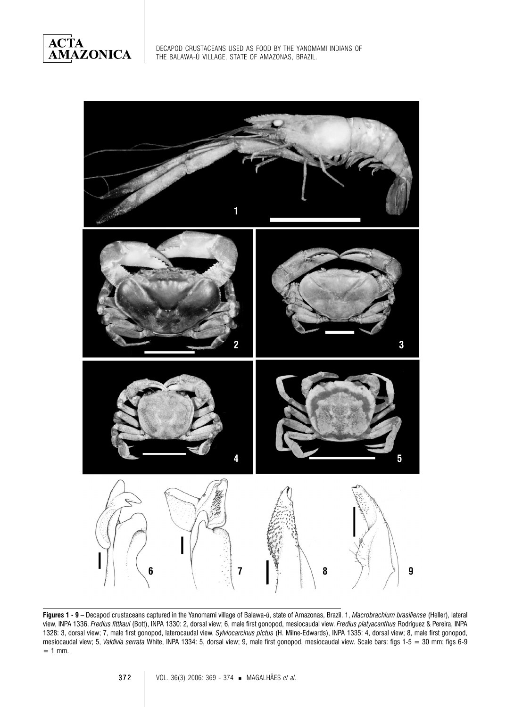**ACTA<br>AMAZONICA** 



**Figures 1 - 9 –** Decapod crustaceans captured in the Yanomami village of Balawa-ú, state of Amazonas, Brazil. 1, *Macrobrachium brasiliense* (Heller), lateral view, INPA 1336. *Fredius fittkaui* (Bott), INPA 1330: 2, dorsal view; 6, male first gonopod, mesiocaudal view. *Fredius platyacanthus* Rodríguez & Pereira, INPA 1328: 3, dorsal view; 7, male first gonopod, laterocaudal view. *Sylviocarcinus pictus* (H. Milne-Edwards), INPA 1335: 4, dorsal view; 8, male first gonopod, mesiocaudal view; 5, *Valdivia serrata* White, INPA 1334: 5, dorsal view; 9, male first gonopod, mesiocaudal view. Scale bars: figs 1-5 = 30 mm; figs 6-9  $= 1$  mm.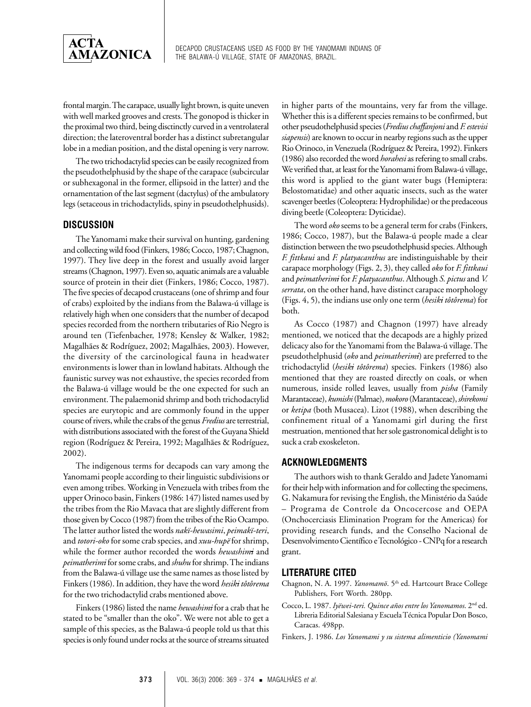

frontal margin. The carapace, usually light brown, is quite uneven with well marked grooves and crests. The gonopod is thicker in the proximal two third, being disctinctly curved in a ventrolateral direction; the lateroventral border has a distinct subretangular lobe in a median position, and the distal opening is very narrow.

The two trichodactylid species can be easily recognized from the pseudothelphusid by the shape of the carapace (subcircular or subhexagonal in the former, ellipsoid in the latter) and the ornamentation of the last segment (dactylus) of the ambulatory legs (setaceous in trichodactylids, spiny in pseudothelphusids).

# **DISCUSSION**

The Yanomami make their survival on hunting, gardening and collecting wild food (Finkers, 1986; Cocco, 1987; Chagnon, 1997). They live deep in the forest and usually avoid larger streams (Chagnon, 1997). Even so, aquatic animals are a valuable source of protein in their diet (Finkers, 1986; Cocco, 1987). The five species of decapod crustaceans (one of shrimp and four of crabs) exploited by the indians from the Balawa-ú village is relatively high when one considers that the number of decapod species recorded from the northern tributaries of Rio Negro is around ten (Tiefenbacher, 1978; Kensley & Walker, 1982; Magalhães & Rodríguez, 2002; Magalhães, 2003). However, the diversity of the carcinological fauna in headwater environments is lower than in lowland habitats. Although the faunistic survey was not exhaustive, the species recorded from the Balawa-ú village would be the one expected for such an environment. The palaemonid shrimp and both trichodactylid species are eurytopic and are commonly found in the upper course of rivers, while the crabs of the genus *Fredius* are terrestrial, with distributions associated with the forest of the Guyana Shield region (Rodríguez & Pereira, 1992; Magalhães & Rodríguez, 2002).

The indigenous terms for decapods can vary among the Yanomami people according to their linguistic subdivisions or even among tribes. Working in Venezuela with tribes from the upper Orinoco basin, Finkers (1986: 147) listed names used by the tribes from the Rio Mavaca that are slightly different from those given by Cocco (1987) from the tribes of the Rio Ocampo. The latter author listed the words *nakï-hewasimi*, *peimakï-teri*, and *totori-oko* for some crab species, and *xuu-hupë* for shrimp, while the former author recorded the words *hewashimi* and *peimatherimi* for some crabs, and *shuhu* for shrimp. The indians from the Balawa-ú village use the same names as those listed by Finkers (1986). In addition, they have the word *hesiki tôtôrema* for the two trichodactylid crabs mentioned above.

Finkers (1986) listed the name *hewashimi* for a crab that he stated to be "smaller than the oko". We were not able to get a sample of this species, as the Balawa-ú people told us that this species is only found under rocks at the source of streams situated in higher parts of the mountains, very far from the village. Whether this is a different species remains to be confirmed, but other pseudothelphusid species (*Frediuschaffanjoni* and *F. estevisi siapensis*) are known to occur in nearby regions such as the upper Rio Orinoco, in Venezuela (Rodríguez & Pereira, 1992). Finkers (1986) also recorded the word *horahesi* as refering to small crabs. We verified that, at least for the Yanomami from Balawa-ú village, this word is applied to the giant water bugs (Hemiptera: Belostomatidae) and other aquatic insects, such as the water scavenger beetles (Coleoptera: Hydrophilidae) or the predaceous diving beetle (Coleoptera: Dyticidae).

The word *oko* seems to be a general term for crabs (Finkers, 1986; Cocco, 1987), but the Balawa-ú people made a clear distinction between the two pseudothelphusid species. Although *F. fittkaui* and *F. platyacanthus* are indistinguishable by their carapace morphology (Figs. 2, 3), they called *oko* for *F. fittkaui* and *peimatherimi* for *F. platyacanthus*. Although *S. pictus* and *V. serrata*, on the other hand, have distinct carapace morphology (Figs. 4, 5), the indians use only one term (*hesiki tôtôrema*) for both.

As Cocco (1987) and Chagnon (1997) have already mentioned, we noticed that the decapods are a highly prized delicacy also for the Yanomami from the Balawa-ú village. The pseudothelphusid (*oko* and *peimatherimi*) are preferred to the trichodactylid (*hesiki tôtôrema*) species. Finkers (1986) also mentioned that they are roasted directly on coals, or when numerous, inside rolled leaves, usually from *pisha* (Family Marantaceae), *kumishi* (Palmae), *mokoro* (Marantaceae), *shirekomi* or *ketipa* (both Musacea). Lizot (1988), when describing the confinement ritual of a Yanomami girl during the first mestruation, mentioned that her sole gastronomical delight is to suck a crab exoskeleton.

# **ACKNOWLEDGMENTS**

The authors wish to thank Geraldo and Jadete Yanomami for their help with information and for collecting the specimens, G. Nakamura for revising the English, the Ministério da Saúde – Programa de Controle da Oncocercose and OEPA (Onchocerciasis Elimination Program for the Americas) for providing research funds, and the Conselho Nacional de Desenvolvimento Científico e Tecnológico - CNPq for a research grant.

#### **LITERATURE CITED**

- Chagnon, N. A. 1997. *Yanomamö*. 5<sup>th</sup> ed. Hartcourt Brace College Publishers, Fort Worth. 280pp.
- Cocco, L. 1987. *Iyëwei-teri. Quince años entre los Yanomamos*. 2nd ed. Libreria Editorial Salesiana y Escuela Técnica Popular Don Bosco, Caracas. 498pp.
- Finkers, J. 1986. *Los Yanomami y su sistema alimenticio (Yanomami*